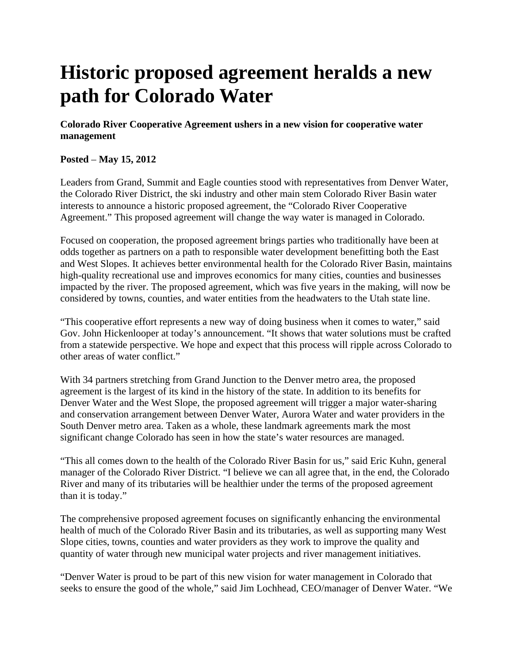## **Historic proposed agreement heralds a new path for Colorado Water**

**Colorado River Cooperative Agreement ushers in a new vision for cooperative water management** 

## **Posted** – **May 15, 2012**

Leaders from Grand, Summit and Eagle counties stood with representatives from Denver Water, the Colorado River District, the ski industry and other main stem Colorado River Basin water interests to announce a historic proposed agreement, the "Colorado River Cooperative Agreement." This proposed agreement will change the way water is managed in Colorado.

Focused on cooperation, the proposed agreement brings parties who traditionally have been at odds together as partners on a path to responsible water development benefitting both the East and West Slopes. It achieves better environmental health for the Colorado River Basin, maintains high-quality recreational use and improves economics for many cities, counties and businesses impacted by the river. The proposed agreement, which was five years in the making, will now be considered by towns, counties, and water entities from the headwaters to the Utah state line.

"This cooperative effort represents a new way of doing business when it comes to water," said Gov. John Hickenlooper at today's announcement. "It shows that water solutions must be crafted from a statewide perspective. We hope and expect that this process will ripple across Colorado to other areas of water conflict."

With 34 partners stretching from Grand Junction to the Denver metro area, the proposed agreement is the largest of its kind in the history of the state. In addition to its benefits for Denver Water and the West Slope, the proposed agreement will trigger a major water-sharing and conservation arrangement between Denver Water, Aurora Water and water providers in the South Denver metro area. Taken as a whole, these landmark agreements mark the most significant change Colorado has seen in how the state's water resources are managed.

"This all comes down to the health of the Colorado River Basin for us," said Eric Kuhn, general manager of the Colorado River District. "I believe we can all agree that, in the end, the Colorado River and many of its tributaries will be healthier under the terms of the proposed agreement than it is today."

The comprehensive proposed agreement focuses on significantly enhancing the environmental health of much of the Colorado River Basin and its tributaries, as well as supporting many West Slope cities, towns, counties and water providers as they work to improve the quality and quantity of water through new municipal water projects and river management initiatives.

"Denver Water is proud to be part of this new vision for water management in Colorado that seeks to ensure the good of the whole," said Jim Lochhead, CEO/manager of Denver Water. "We